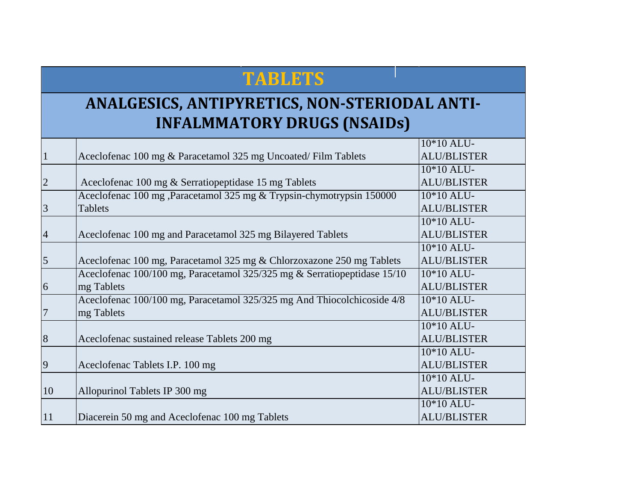## **TABLETS**

## **ANALGESICS, ANTIPYRETICS, NON-STERIODAL ANTI-INFALMMATORY DRUGS (NSAIDs)**

|                |                                                                          | 10*10 ALU-         |
|----------------|--------------------------------------------------------------------------|--------------------|
|                | Aceclofenac 100 mg & Paracetamol 325 mg Uncoated/Film Tablets            | <b>ALU/BLISTER</b> |
|                |                                                                          | 10*10 ALU-         |
| $\overline{2}$ | Aceclofenac 100 mg & Serratiopeptidase 15 mg Tablets                     | <b>ALU/BLISTER</b> |
|                | Aceclofenac 100 mg, Paracetamol 325 mg & Trypsin-chymotrypsin 150000     | 10*10 ALU-         |
| $\overline{3}$ | <b>Tablets</b>                                                           | <b>ALU/BLISTER</b> |
|                |                                                                          | 10*10 ALU-         |
| $\overline{4}$ | Aceclofenac 100 mg and Paracetamol 325 mg Bilayered Tablets              | <b>ALU/BLISTER</b> |
|                |                                                                          | 10*10 ALU-         |
| 5              | Aceclofenac 100 mg, Paracetamol 325 mg & Chlorzoxazone 250 mg Tablets    | <b>ALU/BLISTER</b> |
|                | Aceclofenac 100/100 mg, Paracetamol 325/325 mg & Serratiopeptidase 15/10 | 10*10 ALU-         |
| 6              | mg Tablets                                                               | <b>ALU/BLISTER</b> |
|                | Aceclofenac 100/100 mg, Paracetamol 325/325 mg And Thiocolchicoside 4/8  | 10*10 ALU-         |
| $\overline{7}$ | mg Tablets                                                               | <b>ALU/BLISTER</b> |
|                |                                                                          | 10*10 ALU-         |
| 8              | Aceclofenac sustained release Tablets 200 mg                             | <b>ALU/BLISTER</b> |
|                |                                                                          | 10*10 ALU-         |
| 9              | Aceclofenac Tablets I.P. 100 mg                                          | <b>ALU/BLISTER</b> |
|                |                                                                          | 10*10 ALU-         |
| 10             | Allopurinol Tablets IP 300 mg                                            | <b>ALU/BLISTER</b> |
|                |                                                                          | 10*10 ALU-         |
| 11             | Diacerein 50 mg and Aceclofenac 100 mg Tablets                           | <b>ALU/BLISTER</b> |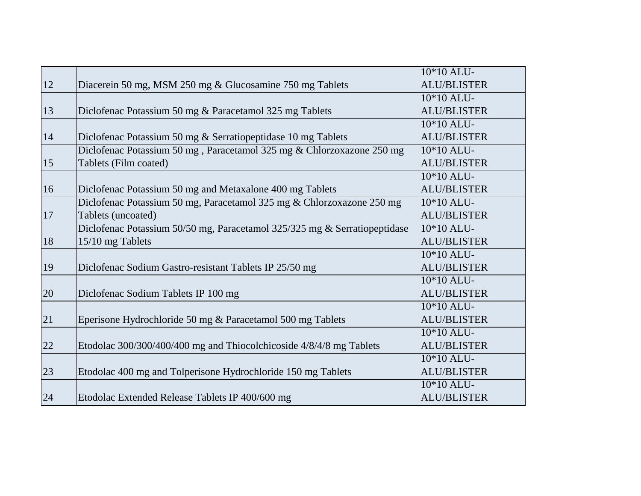|               |                                                                           | 10*10 ALU-         |
|---------------|---------------------------------------------------------------------------|--------------------|
| <sup>12</sup> | Diacerein 50 mg, MSM 250 mg & Glucosamine 750 mg Tablets                  | <b>ALU/BLISTER</b> |
|               |                                                                           | 10*10 ALU-         |
| 13            | Diclofenac Potassium 50 mg & Paracetamol 325 mg Tablets                   | <b>ALU/BLISTER</b> |
|               |                                                                           | 10*10 ALU-         |
| 14            | Diclofenac Potassium 50 mg & Serratiopeptidase 10 mg Tablets              | <b>ALU/BLISTER</b> |
|               | Diclofenac Potassium 50 mg, Paracetamol 325 mg & Chlorzoxazone 250 mg     | 10*10 ALU-         |
| 15            | Tablets (Film coated)                                                     | <b>ALU/BLISTER</b> |
|               |                                                                           | 10*10 ALU-         |
| 16            | Diclofenac Potassium 50 mg and Metaxalone 400 mg Tablets                  | <b>ALU/BLISTER</b> |
|               | Diclofenac Potassium 50 mg, Paracetamol 325 mg & Chlorzoxazone 250 mg     | 10*10 ALU-         |
| 17            | Tablets (uncoated)                                                        | <b>ALU/BLISTER</b> |
|               | Diclofenac Potassium 50/50 mg, Paracetamol 325/325 mg & Serratiopeptidase | 10*10 ALU-         |
| 18            | 15/10 mg Tablets                                                          | <b>ALU/BLISTER</b> |
|               |                                                                           | 10*10 ALU-         |
| 19            | Diclofenac Sodium Gastro-resistant Tablets IP 25/50 mg                    | <b>ALU/BLISTER</b> |
|               |                                                                           | 10*10 ALU-         |
| 20            | Diclofenac Sodium Tablets IP 100 mg                                       | <b>ALU/BLISTER</b> |
|               |                                                                           | 10*10 ALU-         |
| 21            | Eperisone Hydrochloride 50 mg & Paracetamol 500 mg Tablets                | <b>ALU/BLISTER</b> |
|               |                                                                           | 10*10 ALU-         |
| 22            | Etodolac 300/300/400/400 mg and Thiocolchicoside 4/8/4/8 mg Tablets       | <b>ALU/BLISTER</b> |
|               |                                                                           | 10*10 ALU-         |
| 23            | Etodolac 400 mg and Tolperisone Hydrochloride 150 mg Tablets              | <b>ALU/BLISTER</b> |
|               |                                                                           | 10*10 ALU-         |
| 24            | Etodolac Extended Release Tablets IP 400/600 mg                           | <b>ALU/BLISTER</b> |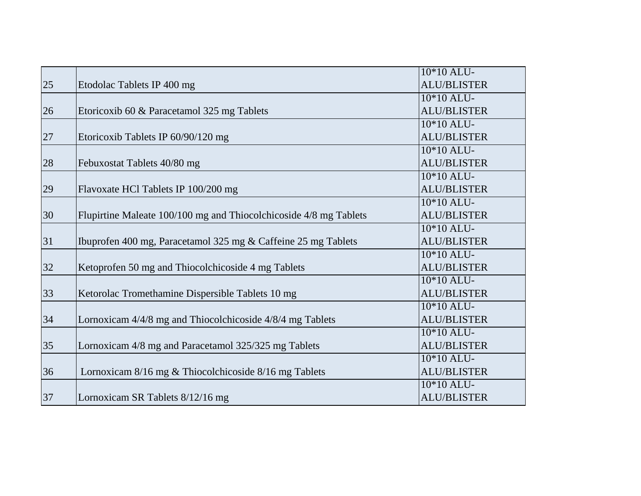|    |                                                                   | 10*10 ALU-         |
|----|-------------------------------------------------------------------|--------------------|
| 25 | Etodolac Tablets IP 400 mg                                        | <b>ALU/BLISTER</b> |
|    |                                                                   | 10*10 ALU-         |
| 26 | Etoricoxib 60 & Paracetamol 325 mg Tablets                        | <b>ALU/BLISTER</b> |
|    |                                                                   | $10*10$ ALU-       |
| 27 | Etoricoxib Tablets IP 60/90/120 mg                                | <b>ALU/BLISTER</b> |
|    |                                                                   | $10*10$ ALU-       |
| 28 | Febuxostat Tablets 40/80 mg                                       | <b>ALU/BLISTER</b> |
|    |                                                                   | 10*10 ALU-         |
| 29 | Flavoxate HCl Tablets IP 100/200 mg                               | <b>ALU/BLISTER</b> |
|    |                                                                   | 10*10 ALU-         |
| 30 | Flupirtine Maleate 100/100 mg and Thiocolchicoside 4/8 mg Tablets | <b>ALU/BLISTER</b> |
|    |                                                                   | 10*10 ALU-         |
| 31 | Ibuprofen 400 mg, Paracetamol 325 mg & Caffeine 25 mg Tablets     | <b>ALU/BLISTER</b> |
|    |                                                                   | 10*10 ALU-         |
| 32 | Ketoprofen 50 mg and Thiocolchicoside 4 mg Tablets                | <b>ALU/BLISTER</b> |
|    |                                                                   | 10*10 ALU-         |
| 33 | Ketorolac Tromethamine Dispersible Tablets 10 mg                  | <b>ALU/BLISTER</b> |
|    |                                                                   | 10*10 ALU-         |
| 34 | Lornoxicam 4/4/8 mg and Thiocolchicoside 4/8/4 mg Tablets         | <b>ALU/BLISTER</b> |
|    |                                                                   | 10*10 ALU-         |
| 35 | Lornoxicam 4/8 mg and Paracetamol 325/325 mg Tablets              | <b>ALU/BLISTER</b> |
|    |                                                                   | 10*10 ALU-         |
| 36 | Lornoxicam 8/16 mg & Thiocolchicoside 8/16 mg Tablets             | <b>ALU/BLISTER</b> |
|    |                                                                   | 10*10 ALU-         |
| 37 | Lornoxicam SR Tablets 8/12/16 mg                                  | <b>ALU/BLISTER</b> |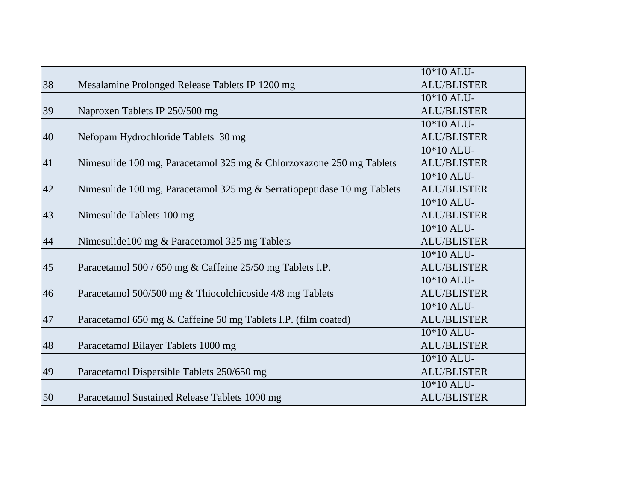|    |                                                                         | 10*10 ALU-              |
|----|-------------------------------------------------------------------------|-------------------------|
| 38 | Mesalamine Prolonged Release Tablets IP 1200 mg                         | <b>ALU/BLISTER</b>      |
|    |                                                                         | 10*10 ALU-              |
| 39 | Naproxen Tablets IP 250/500 mg                                          | <b>ALU/BLISTER</b>      |
|    |                                                                         | $10*10$ ALU-            |
| 40 | Nefopam Hydrochloride Tablets 30 mg                                     | <b>ALU/BLISTER</b>      |
|    |                                                                         | 10*10 ALU-              |
| 41 | Nimesulide 100 mg, Paracetamol 325 mg & Chlorzoxazone 250 mg Tablets    | <b>ALU/BLISTER</b>      |
|    |                                                                         | 10*10 ALU-              |
| 42 | Nimesulide 100 mg, Paracetamol 325 mg & Serratiopeptidase 10 mg Tablets | <b>ALU/BLISTER</b>      |
|    |                                                                         | 10*10 ALU-              |
| 43 | Nimesulide Tablets 100 mg                                               | <b>ALU/BLISTER</b>      |
|    |                                                                         | 10*10 ALU-              |
| 44 | Nimesulide100 mg & Paracetamol 325 mg Tablets                           | <b>ALU/BLISTER</b>      |
|    |                                                                         | 10*10 ALU-              |
| 45 | Paracetamol 500 / 650 mg & Caffeine 25/50 mg Tablets I.P.               | <b>ALU/BLISTER</b>      |
|    |                                                                         | 10*10 ALU-              |
| 46 | Paracetamol 500/500 mg & Thiocolchicoside 4/8 mg Tablets                | <b>ALU/BLISTER</b>      |
|    |                                                                         | 10*10 ALU-              |
| 47 | Paracetamol 650 mg & Caffeine 50 mg Tablets I.P. (film coated)          | <b>ALU/BLISTER</b>      |
|    |                                                                         | 10*10 ALU-              |
| 48 | Paracetamol Bilayer Tablets 1000 mg                                     | <b>ALU/BLISTER</b>      |
|    |                                                                         | $\overline{10*}10$ ALU- |
| 49 | Paracetamol Dispersible Tablets 250/650 mg                              | <b>ALU/BLISTER</b>      |
|    |                                                                         | 10*10 ALU-              |
| 50 | Paracetamol Sustained Release Tablets 1000 mg                           | <b>ALU/BLISTER</b>      |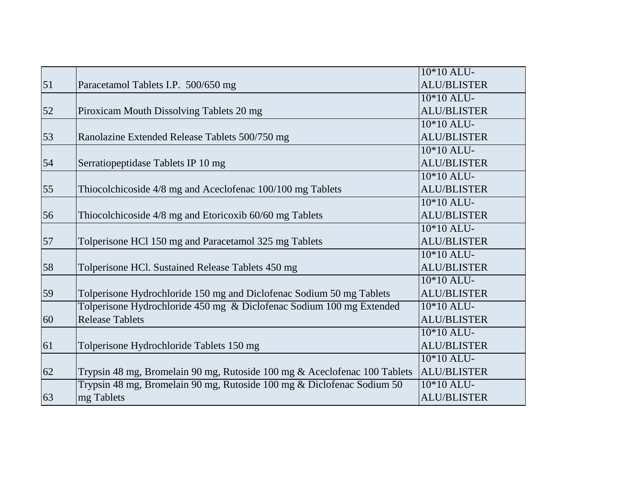|    |                                                                           | $\overline{10*}10$ ALU- |
|----|---------------------------------------------------------------------------|-------------------------|
| 51 | Paracetamol Tablets I.P. 500/650 mg                                       | <b>ALU/BLISTER</b>      |
|    |                                                                           | 10*10 ALU-              |
| 52 | Piroxicam Mouth Dissolving Tablets 20 mg                                  | <b>ALU/BLISTER</b>      |
|    |                                                                           | $10*10$ ALU-            |
| 53 | Ranolazine Extended Release Tablets 500/750 mg                            | <b>ALU/BLISTER</b>      |
|    |                                                                           | $10*10$ ALU-            |
| 54 | Serratiopeptidase Tablets IP 10 mg                                        | <b>ALU/BLISTER</b>      |
|    |                                                                           | 10*10 ALU-              |
| 55 | Thiocolchicoside 4/8 mg and Aceclofenac 100/100 mg Tablets                | <b>ALU/BLISTER</b>      |
|    |                                                                           | 10*10 ALU-              |
| 56 | Thiocolchicoside 4/8 mg and Etoricoxib 60/60 mg Tablets                   | <b>ALU/BLISTER</b>      |
|    |                                                                           | 10*10 ALU-              |
| 57 | Tolperisone HCl 150 mg and Paracetamol 325 mg Tablets                     | <b>ALU/BLISTER</b>      |
|    |                                                                           | $10*10$ ALU-            |
| 58 | Tolperisone HCl. Sustained Release Tablets 450 mg                         | <b>ALU/BLISTER</b>      |
|    |                                                                           | 10*10 ALU-              |
| 59 | Tolperisone Hydrochloride 150 mg and Diclofenac Sodium 50 mg Tablets      | <b>ALU/BLISTER</b>      |
|    | Tolperisone Hydrochloride 450 mg & Diclofenac Sodium 100 mg Extended      | 10*10 ALU-              |
| 60 | <b>Release Tablets</b>                                                    | <b>ALU/BLISTER</b>      |
|    |                                                                           | 10*10 ALU-              |
| 61 | Tolperisone Hydrochloride Tablets 150 mg                                  | <b>ALU/BLISTER</b>      |
|    |                                                                           | $10*10$ ALU-            |
| 62 | Trypsin 48 mg, Bromelain 90 mg, Rutoside 100 mg & Aceclofenac 100 Tablets | <b>ALU/BLISTER</b>      |
|    | Trypsin 48 mg, Bromelain 90 mg, Rutoside 100 mg & Diclofenac Sodium 50    | 10*10 ALU-              |
| 63 | mg Tablets                                                                | <b>ALU/BLISTER</b>      |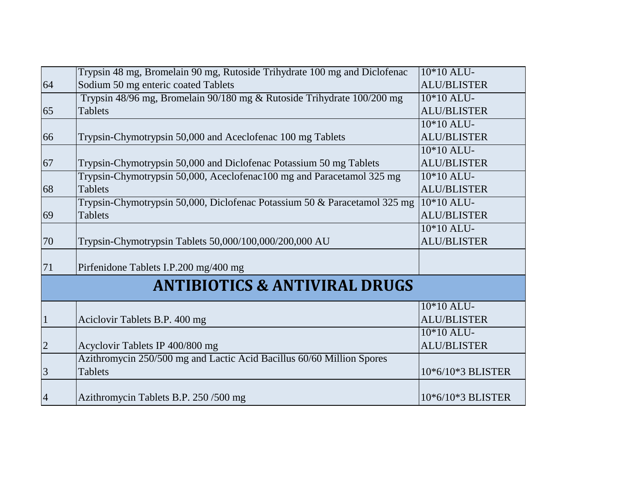|                | Trypsin 48 mg, Bromelain 90 mg, Rutoside Trihydrate 100 mg and Diclofenac | $10*10$ ALU-       |
|----------------|---------------------------------------------------------------------------|--------------------|
| 64             | Sodium 50 mg enteric coated Tablets                                       | <b>ALU/BLISTER</b> |
|                | Trypsin 48/96 mg, Bromelain 90/180 mg & Rutoside Trihydrate 100/200 mg    | 10*10 ALU-         |
| 65             | <b>Tablets</b>                                                            | <b>ALU/BLISTER</b> |
|                |                                                                           | $10*10$ ALU-       |
| 66             | Trypsin-Chymotrypsin 50,000 and Aceclofenac 100 mg Tablets                | <b>ALU/BLISTER</b> |
|                |                                                                           | $10*10$ ALU-       |
| 67             | Trypsin-Chymotrypsin 50,000 and Diclofenac Potassium 50 mg Tablets        | <b>ALU/BLISTER</b> |
|                | Trypsin-Chymotrypsin 50,000, Aceclofenac100 mg and Paracetamol 325 mg     | 10*10 ALU-         |
| 68             | <b>Tablets</b>                                                            | <b>ALU/BLISTER</b> |
|                | Trypsin-Chymotrypsin 50,000, Diclofenac Potassium 50 & Paracetamol 325 mg | $10*10$ ALU-       |
| 69             | <b>Tablets</b>                                                            | <b>ALU/BLISTER</b> |
|                |                                                                           | 10*10 ALU-         |
| 70             | Trypsin-Chymotrypsin Tablets 50,000/100,000/200,000 AU                    | <b>ALU/BLISTER</b> |
| 71             | Pirfenidone Tablets I.P.200 mg/400 mg                                     |                    |
|                |                                                                           |                    |
|                | <b>ANTIBIOTICS &amp; ANTIVIRAL DRUGS</b>                                  |                    |
|                |                                                                           | 10*10 ALU-         |
| $\mathbf{1}$   | Aciclovir Tablets B.P. 400 mg                                             | <b>ALU/BLISTER</b> |
|                |                                                                           | $10*10$ ALU-       |
| $\overline{2}$ | Acyclovir Tablets IP 400/800 mg                                           | <b>ALU/BLISTER</b> |
|                | Azithromycin 250/500 mg and Lactic Acid Bacillus 60/60 Million Spores     |                    |
| 3              | Tablets                                                                   | 10*6/10*3 BLISTER  |
|                |                                                                           |                    |
| $\overline{4}$ | Azithromycin Tablets B.P. 250/500 mg                                      | 10*6/10*3 BLISTER  |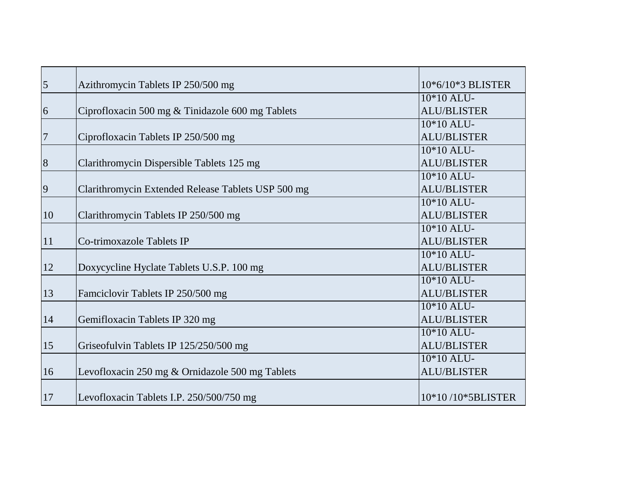| 5              |                                                    | 10*6/10*3 BLISTER  |
|----------------|----------------------------------------------------|--------------------|
|                | Azithromycin Tablets IP 250/500 mg                 |                    |
|                |                                                    | $10*10$ ALU-       |
| 6              | Ciprofloxacin 500 mg & Tinidazole 600 mg Tablets   | <b>ALU/BLISTER</b> |
|                |                                                    | $10*10$ ALU-       |
| $\overline{7}$ | Ciprofloxacin Tablets IP 250/500 mg                | <b>ALU/BLISTER</b> |
|                |                                                    | $10*10$ ALU-       |
| $\,8\,$        | Clarithromycin Dispersible Tablets 125 mg          | <b>ALU/BLISTER</b> |
|                |                                                    | 10*10 ALU-         |
| 9              | Clarithromycin Extended Release Tablets USP 500 mg | <b>ALU/BLISTER</b> |
|                |                                                    | 10*10 ALU-         |
| 10             | Clarithromycin Tablets IP 250/500 mg               | <b>ALU/BLISTER</b> |
|                |                                                    | 10*10 ALU-         |
| 11             | Co-trimoxazole Tablets IP                          | <b>ALU/BLISTER</b> |
|                |                                                    | 10*10 ALU-         |
| 12             | Doxycycline Hyclate Tablets U.S.P. 100 mg          | <b>ALU/BLISTER</b> |
|                |                                                    | 10*10 ALU-         |
| 13             | Famciclovir Tablets IP 250/500 mg                  | <b>ALU/BLISTER</b> |
|                |                                                    | $10*10$ ALU-       |
| 14             | Gemifloxacin Tablets IP 320 mg                     | <b>ALU/BLISTER</b> |
|                |                                                    | $10*10$ ALU-       |
| 15             | Griseofulvin Tablets IP 125/250/500 mg             | <b>ALU/BLISTER</b> |
|                |                                                    | 10*10 ALU-         |
| 16             | Levofloxacin 250 mg & Ornidazole 500 mg Tablets    | <b>ALU/BLISTER</b> |
|                |                                                    |                    |
| 17             | Levofloxacin Tablets I.P. 250/500/750 mg           | 10*10/10*5BLISTER  |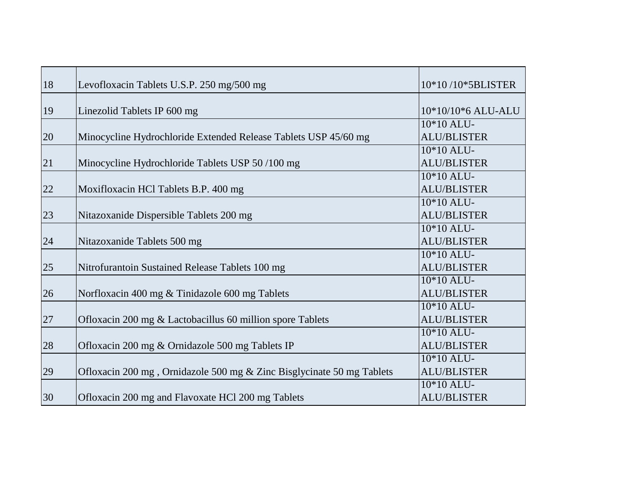| 18 | Levofloxacin Tablets U.S.P. 250 mg/500 mg                             | 10*10/10*5BLISTER                  |
|----|-----------------------------------------------------------------------|------------------------------------|
| 19 | Linezolid Tablets IP 600 mg                                           | 10*10/10*6 ALU-ALU                 |
| 20 | Minocycline Hydrochloride Extended Release Tablets USP 45/60 mg       | $10*10$ ALU-<br><b>ALU/BLISTER</b> |
| 21 | Minocycline Hydrochloride Tablets USP 50/100 mg                       | $10*10$ ALU-<br><b>ALU/BLISTER</b> |
| 22 | Moxifloxacin HCl Tablets B.P. 400 mg                                  | 10*10 ALU-<br><b>ALU/BLISTER</b>   |
| 23 | Nitazoxanide Dispersible Tablets 200 mg                               | 10*10 ALU-<br><b>ALU/BLISTER</b>   |
| 24 | Nitazoxanide Tablets 500 mg                                           | $10*10$ ALU-<br><b>ALU/BLISTER</b> |
| 25 | Nitrofurantoin Sustained Release Tablets 100 mg                       | 10*10 ALU-<br><b>ALU/BLISTER</b>   |
| 26 | Norfloxacin 400 mg & Tinidazole 600 mg Tablets                        | 10*10 ALU-<br><b>ALU/BLISTER</b>   |
| 27 | Ofloxacin 200 mg & Lactobacillus 60 million spore Tablets             | 10*10 ALU-<br><b>ALU/BLISTER</b>   |
| 28 | Ofloxacin 200 mg & Ornidazole 500 mg Tablets IP                       | 10*10 ALU-<br><b>ALU/BLISTER</b>   |
| 29 | Ofloxacin 200 mg, Ornidazole 500 mg & Zinc Bisglycinate 50 mg Tablets | 10*10 ALU-<br><b>ALU/BLISTER</b>   |
| 30 | Ofloxacin 200 mg and Flavoxate HCl 200 mg Tablets                     | 10*10 ALU-<br><b>ALU/BLISTER</b>   |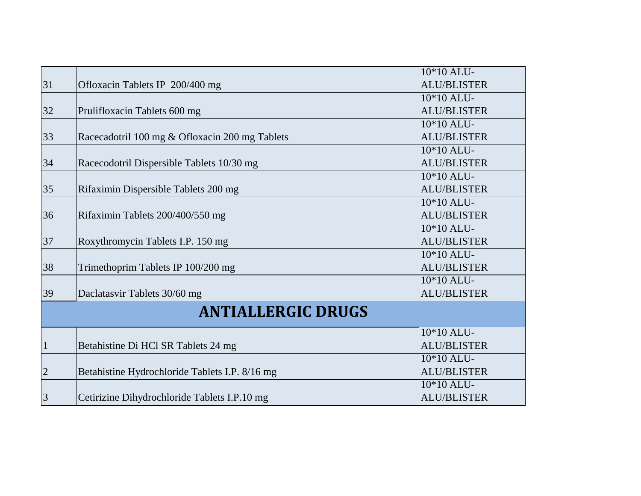|                           |                                                | 10*10 ALU-         |
|---------------------------|------------------------------------------------|--------------------|
| 31                        | Ofloxacin Tablets IP 200/400 mg                | <b>ALU/BLISTER</b> |
|                           |                                                | $10*10$ ALU-       |
| 32                        | Prulifloxacin Tablets 600 mg                   | <b>ALU/BLISTER</b> |
|                           |                                                | $10*10$ ALU-       |
| 33                        | Racecadotril 100 mg & Ofloxacin 200 mg Tablets | <b>ALU/BLISTER</b> |
|                           |                                                | 10*10 ALU-         |
| 34                        | Racecodotril Dispersible Tablets 10/30 mg      | <b>ALU/BLISTER</b> |
|                           |                                                | 10*10 ALU-         |
| 35                        | Rifaximin Dispersible Tablets 200 mg           | <b>ALU/BLISTER</b> |
|                           |                                                | 10*10 ALU-         |
| 36                        | Rifaximin Tablets 200/400/550 mg               | <b>ALU/BLISTER</b> |
|                           |                                                | 10*10 ALU-         |
| 37                        | Roxythromycin Tablets I.P. 150 mg              | <b>ALU/BLISTER</b> |
|                           |                                                | 10*10 ALU-         |
| 38                        | Trimethoprim Tablets IP 100/200 mg             | <b>ALU/BLISTER</b> |
|                           |                                                | 10*10 ALU-         |
| 39                        | Daclatasvir Tablets 30/60 mg                   | <b>ALU/BLISTER</b> |
| <b>ANTIALLERGIC DRUGS</b> |                                                |                    |
|                           |                                                | 10*10 ALU-         |
| $\overline{1}$            | Betahistine Di HCl SR Tablets 24 mg            | <b>ALU/BLISTER</b> |
|                           |                                                | 10*10 ALU-         |
| $\overline{2}$            | Betahistine Hydrochloride Tablets I.P. 8/16 mg | <b>ALU/BLISTER</b> |
|                           |                                                | 10*10 ALU-         |
| $\overline{3}$            | Cetirizine Dihydrochloride Tablets I.P.10 mg   | <b>ALU/BLISTER</b> |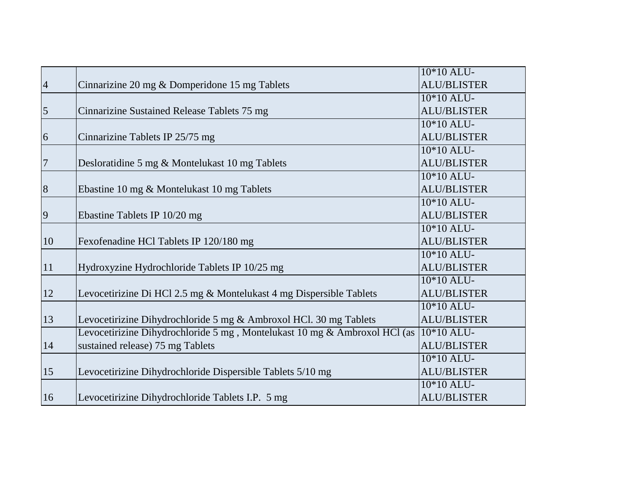|                |                                                                           | 10*10 ALU-         |
|----------------|---------------------------------------------------------------------------|--------------------|
| $\overline{4}$ | Cinnarizine 20 mg & Domperidone 15 mg Tablets                             | <b>ALU/BLISTER</b> |
|                |                                                                           | 10*10 ALU-         |
| $\overline{5}$ | Cinnarizine Sustained Release Tablets 75 mg                               | <b>ALU/BLISTER</b> |
|                |                                                                           | $10*10$ ALU-       |
| 6              | Cinnarizine Tablets IP 25/75 mg                                           | <b>ALU/BLISTER</b> |
|                |                                                                           | $10*10$ ALU-       |
| $\overline{7}$ | Desloratidine 5 mg & Montelukast 10 mg Tablets                            | <b>ALU/BLISTER</b> |
|                |                                                                           | 10*10 ALU-         |
| 8              | Ebastine 10 mg & Montelukast 10 mg Tablets                                | <b>ALU/BLISTER</b> |
|                |                                                                           | 10*10 ALU-         |
| $\overline{9}$ | Ebastine Tablets IP 10/20 mg                                              | <b>ALU/BLISTER</b> |
|                |                                                                           | 10*10 ALU-         |
| 10             | Fexofenadine HCl Tablets IP 120/180 mg                                    | <b>ALU/BLISTER</b> |
|                |                                                                           | $10*10$ ALU-       |
| 11             | Hydroxyzine Hydrochloride Tablets IP 10/25 mg                             | <b>ALU/BLISTER</b> |
|                |                                                                           | 10*10 ALU-         |
| 12             | Levocetirizine Di HCl 2.5 mg & Montelukast 4 mg Dispersible Tablets       | <b>ALU/BLISTER</b> |
|                |                                                                           | $10*10$ ALU-       |
| 13             | Levocetirizine Dihydrochloride 5 mg & Ambroxol HCl. 30 mg Tablets         | <b>ALU/BLISTER</b> |
|                | Levocetirizine Dihydrochloride 5 mg, Montelukast 10 mg & Ambroxol HCl (as | $10*10$ ALU-       |
| 14             | sustained release) 75 mg Tablets                                          | <b>ALU/BLISTER</b> |
|                |                                                                           | 10*10 ALU-         |
| 15             | Levocetirizine Dihydrochloride Dispersible Tablets 5/10 mg                | <b>ALU/BLISTER</b> |
|                |                                                                           | 10*10 ALU-         |
| 16             | Levocetirizine Dihydrochloride Tablets I.P. 5 mg                          | <b>ALU/BLISTER</b> |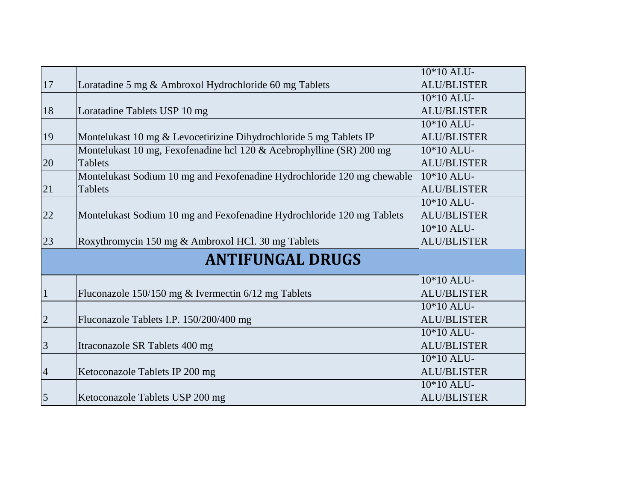|                         |                                                                         | 10*10 ALU-         |
|-------------------------|-------------------------------------------------------------------------|--------------------|
| 17                      | Loratadine 5 mg & Ambroxol Hydrochloride 60 mg Tablets                  | <b>ALU/BLISTER</b> |
|                         |                                                                         | $10*10$ ALU-       |
| 18                      | Loratadine Tablets USP 10 mg                                            | <b>ALU/BLISTER</b> |
|                         |                                                                         | $10*10$ ALU-       |
| 19                      | Montelukast 10 mg & Levocetirizine Dihydrochloride 5 mg Tablets IP      | <b>ALU/BLISTER</b> |
|                         | Montelukast 10 mg, Fexofenadine hcl 120 & Acebrophylline (SR) 200 mg    | 10*10 ALU-         |
| 20                      | <b>Tablets</b>                                                          | <b>ALU/BLISTER</b> |
|                         | Montelukast Sodium 10 mg and Fexofenadine Hydrochloride 120 mg chewable | 10*10 ALU-         |
| 21                      | <b>Tablets</b>                                                          | <b>ALU/BLISTER</b> |
|                         |                                                                         | 10*10 ALU-         |
| 22                      | Montelukast Sodium 10 mg and Fexofenadine Hydrochloride 120 mg Tablets  | <b>ALU/BLISTER</b> |
|                         |                                                                         | 10*10 ALU-         |
| 23                      | Roxythromycin 150 mg & Ambroxol HCl. 30 mg Tablets                      | <b>ALU/BLISTER</b> |
| <b>ANTIFUNGAL DRUGS</b> |                                                                         |                    |
|                         |                                                                         | 10*10 ALU-         |
| $\mathbf{1}$            | Fluconazole 150/150 mg & Ivermectin 6/12 mg Tablets                     | <b>ALU/BLISTER</b> |
|                         |                                                                         | $10*10$ ALU-       |
| $\mathbf{2}$            | Fluconazole Tablets I.P. 150/200/400 mg                                 | <b>ALU/BLISTER</b> |
|                         |                                                                         | $10*10$ ALU-       |
| 3                       | Itraconazole SR Tablets 400 mg                                          | <b>ALU/BLISTER</b> |
|                         |                                                                         | 10*10 ALU-         |
| $\overline{4}$          | Ketoconazole Tablets IP 200 mg                                          | <b>ALU/BLISTER</b> |
|                         |                                                                         | 10*10 ALU-         |
| $\overline{5}$          | Ketoconazole Tablets USP 200 mg                                         | <b>ALU/BLISTER</b> |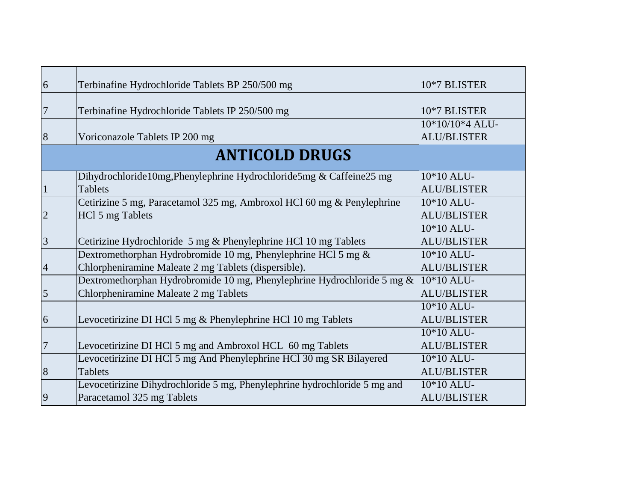| 6              | Terbinafine Hydrochloride Tablets BP 250/500 mg                                                                       | 10*7 BLISTER                          |
|----------------|-----------------------------------------------------------------------------------------------------------------------|---------------------------------------|
| $\overline{7}$ | Terbinafine Hydrochloride Tablets IP 250/500 mg                                                                       | 10*7 BLISTER                          |
| 8              | Voriconazole Tablets IP 200 mg                                                                                        | 10*10/10*4 ALU-<br><b>ALU/BLISTER</b> |
|                | <b>ANTICOLD DRUGS</b>                                                                                                 |                                       |
| $\mathbf{1}$   | Dihydrochloride10mg, Phenylephrine Hydrochloride5mg & Caffeine25 mg<br><b>Tablets</b>                                 | 10*10 ALU-<br><b>ALU/BLISTER</b>      |
| $\overline{2}$ | Cetirizine 5 mg, Paracetamol 325 mg, Ambroxol HCl 60 mg & Penylephrine<br>HCl 5 mg Tablets                            | 10*10 ALU-<br><b>ALU/BLISTER</b>      |
| $\overline{3}$ | Cetirizine Hydrochloride 5 mg & Phenylephrine HCl 10 mg Tablets                                                       | 10*10 ALU-<br><b>ALU/BLISTER</b>      |
| $\overline{4}$ | Dextromethorphan Hydrobromide 10 mg, Phenylephrine HCl 5 mg &<br>Chlorpheniramine Maleate 2 mg Tablets (dispersible). | 10*10 ALU-<br><b>ALU/BLISTER</b>      |
| $\overline{5}$ | Dextromethorphan Hydrobromide 10 mg, Phenylephrine Hydrochloride 5 mg &<br>Chlorpheniramine Maleate 2 mg Tablets      | 10*10 ALU-<br><b>ALU/BLISTER</b>      |
| 6              | Levocetirizine DI HCl 5 mg & Phenylephrine HCl 10 mg Tablets                                                          | 10*10 ALU-<br><b>ALU/BLISTER</b>      |
| $\overline{7}$ | Levocetirizine DI HCl 5 mg and Ambroxol HCL 60 mg Tablets                                                             | 10*10 ALU-<br><b>ALU/BLISTER</b>      |
| 8              | Levocetirizine DI HCl 5 mg And Phenylephrine HCl 30 mg SR Bilayered<br><b>Tablets</b>                                 | 10*10 ALU-<br><b>ALU/BLISTER</b>      |
| 9              | Levocetirizine Dihydrochloride 5 mg, Phenylephrine hydrochloride 5 mg and<br>Paracetamol 325 mg Tablets               | 10*10 ALU-<br><b>ALU/BLISTER</b>      |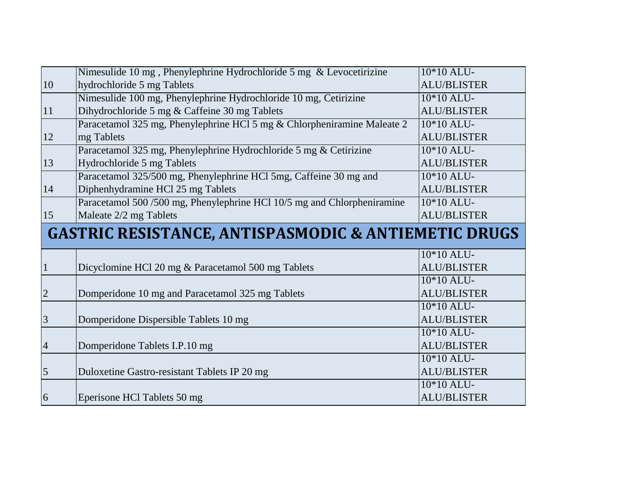|                | Nimesulide 10 mg, Phenylephrine Hydrochloride 5 mg & Levocetirizine     | 10*10 ALU-         |
|----------------|-------------------------------------------------------------------------|--------------------|
| 10             | hydrochloride 5 mg Tablets                                              | <b>ALU/BLISTER</b> |
|                | Nimesulide 100 mg, Phenylephrine Hydrochloride 10 mg, Cetirizine        | 10*10 ALU-         |
| 11             | Dihydrochloride 5 mg & Caffeine 30 mg Tablets                           | <b>ALU/BLISTER</b> |
|                | Paracetamol 325 mg, Phenylephrine HCl 5 mg & Chlorpheniramine Maleate 2 | $10*10$ ALU-       |
| 12             | mg Tablets                                                              | <b>ALU/BLISTER</b> |
|                | Paracetamol 325 mg, Phenylephrine Hydrochloride 5 mg & Cetirizine       | 10*10 ALU-         |
| 13             | Hydrochloride 5 mg Tablets                                              | <b>ALU/BLISTER</b> |
|                | Paracetamol 325/500 mg, Phenylephrine HCl 5mg, Caffeine 30 mg and       | 10*10 ALU-         |
| 14             | Diphenhydramine HCl 25 mg Tablets                                       | <b>ALU/BLISTER</b> |
|                | Paracetamol 500/500 mg, Phenylephrine HCl 10/5 mg and Chlorpheniramine  | 10*10 ALU-         |
| 15             | Maleate 2/2 mg Tablets                                                  | <b>ALU/BLISTER</b> |
|                |                                                                         |                    |
|                | <b>GASTRIC RESISTANCE, ANTISPASMODIC &amp; ANTIEMETIC DRUGS</b>         |                    |
|                |                                                                         | 10*10 ALU-         |
| $\vert$ 1      | Dicyclomine HCl 20 mg & Paracetamol 500 mg Tablets                      | <b>ALU/BLISTER</b> |
|                |                                                                         | 10*10 ALU-         |
| $\overline{2}$ | Domperidone 10 mg and Paracetamol 325 mg Tablets                        | <b>ALU/BLISTER</b> |
|                |                                                                         | 10*10 ALU-         |
| $\overline{3}$ | Domperidone Dispersible Tablets 10 mg                                   | <b>ALU/BLISTER</b> |
|                |                                                                         | 10*10 ALU-         |
| $\overline{4}$ | Domperidone Tablets I.P.10 mg                                           | <b>ALU/BLISTER</b> |
|                |                                                                         | 10*10 ALU-         |
| 5              | Duloxetine Gastro-resistant Tablets IP 20 mg                            | <b>ALU/BLISTER</b> |
|                |                                                                         | 10*10 ALU-         |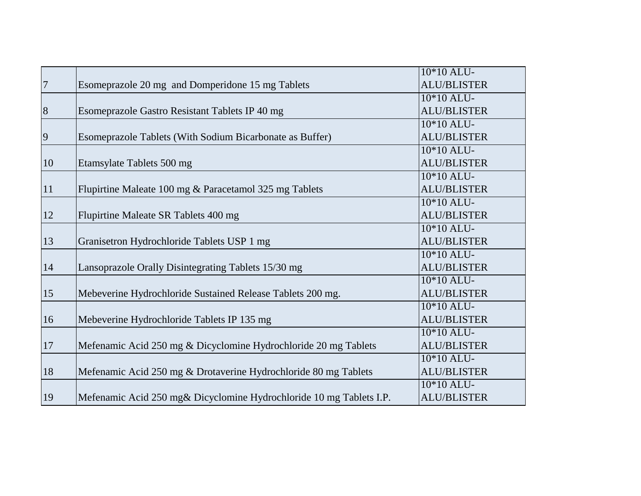|                 |                                                                     | 10*10 ALU-         |
|-----------------|---------------------------------------------------------------------|--------------------|
| $7\overline{ }$ | Esomeprazole 20 mg and Domperidone 15 mg Tablets                    | <b>ALU/BLISTER</b> |
|                 |                                                                     | 10*10 ALU-         |
| $\overline{8}$  | Esomeprazole Gastro Resistant Tablets IP 40 mg                      | <b>ALU/BLISTER</b> |
|                 |                                                                     | $10*10$ ALU-       |
| $\overline{9}$  | Esomeprazole Tablets (With Sodium Bicarbonate as Buffer)            | <b>ALU/BLISTER</b> |
|                 |                                                                     | $10*10$ ALU-       |
| 10              | Etamsylate Tablets 500 mg                                           | <b>ALU/BLISTER</b> |
|                 |                                                                     | 10*10 ALU-         |
| <sup>11</sup>   | Flupirtine Maleate 100 mg & Paracetamol 325 mg Tablets              | <b>ALU/BLISTER</b> |
|                 |                                                                     | 10*10 ALU-         |
| <sup>12</sup>   | Flupirtine Maleate SR Tablets 400 mg                                | <b>ALU/BLISTER</b> |
|                 |                                                                     | $10*10$ ALU-       |
| 13              | Granisetron Hydrochloride Tablets USP 1 mg                          | <b>ALU/BLISTER</b> |
|                 |                                                                     | 10*10 ALU-         |
| 14              | Lansoprazole Orally Disintegrating Tablets 15/30 mg                 | <b>ALU/BLISTER</b> |
|                 |                                                                     | 10*10 ALU-         |
| 15              | Mebeverine Hydrochloride Sustained Release Tablets 200 mg.          | <b>ALU/BLISTER</b> |
|                 |                                                                     | 10*10 ALU-         |
| 16              | Mebeverine Hydrochloride Tablets IP 135 mg                          | <b>ALU/BLISTER</b> |
|                 |                                                                     | $10*10$ ALU-       |
| 17              | Mefenamic Acid 250 mg & Dicyclomine Hydrochloride 20 mg Tablets     | <b>ALU/BLISTER</b> |
|                 |                                                                     | 10*10 ALU-         |
| 18              | Mefenamic Acid 250 mg & Drotaverine Hydrochloride 80 mg Tablets     | <b>ALU/BLISTER</b> |
|                 |                                                                     | 10*10 ALU-         |
| 19              | Mefenamic Acid 250 mg& Dicyclomine Hydrochloride 10 mg Tablets I.P. | <b>ALU/BLISTER</b> |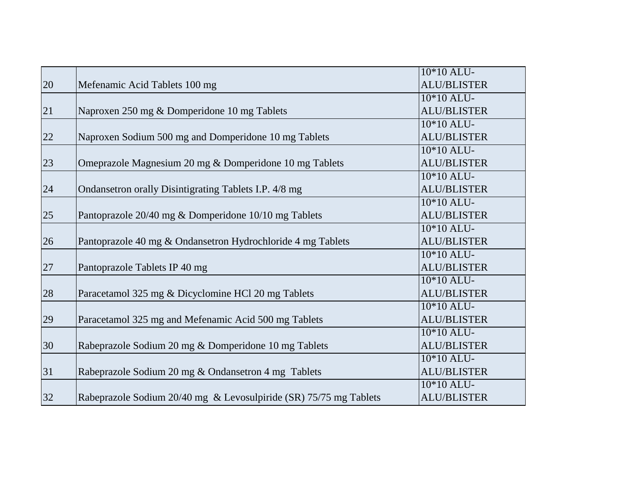|        |                                                                   | 10*10 ALU-         |
|--------|-------------------------------------------------------------------|--------------------|
| 20     | Mefenamic Acid Tablets 100 mg                                     | <b>ALU/BLISTER</b> |
|        |                                                                   | 10*10 ALU-         |
| 21     | Naproxen 250 mg & Domperidone 10 mg Tablets                       | <b>ALU/BLISTER</b> |
|        |                                                                   | $10*10$ ALU-       |
| 22     | Naproxen Sodium 500 mg and Domperidone 10 mg Tablets              | <b>ALU/BLISTER</b> |
|        |                                                                   | 10*10 ALU-         |
| 23     | Omeprazole Magnesium 20 mg & Domperidone 10 mg Tablets            | <b>ALU/BLISTER</b> |
|        |                                                                   | 10*10 ALU-         |
| 24     | Ondansetron orally Disintigrating Tablets I.P. 4/8 mg             | <b>ALU/BLISTER</b> |
|        |                                                                   | 10*10 ALU-         |
| 25     | Pantoprazole 20/40 mg & Domperidone 10/10 mg Tablets              | <b>ALU/BLISTER</b> |
|        |                                                                   | $10*10$ ALU-       |
| 26     | Pantoprazole 40 mg & Ondansetron Hydrochloride 4 mg Tablets       | <b>ALU/BLISTER</b> |
|        |                                                                   | 10*10 ALU-         |
| $27\,$ | Pantoprazole Tablets IP 40 mg                                     | <b>ALU/BLISTER</b> |
|        |                                                                   | 10*10 ALU-         |
| 28     | Paracetamol 325 mg & Dicyclomine HCl 20 mg Tablets                | <b>ALU/BLISTER</b> |
|        |                                                                   | 10*10 ALU-         |
| 29     | Paracetamol 325 mg and Mefenamic Acid 500 mg Tablets              | <b>ALU/BLISTER</b> |
|        |                                                                   | $10*10$ ALU-       |
| 30     | Rabeprazole Sodium 20 mg & Domperidone 10 mg Tablets              | <b>ALU/BLISTER</b> |
|        |                                                                   | 10*10 ALU-         |
| 31     | Rabeprazole Sodium 20 mg & Ondansetron 4 mg Tablets               | <b>ALU/BLISTER</b> |
|        |                                                                   | 10*10 ALU-         |
| 32     | Rabeprazole Sodium 20/40 mg & Levosulpiride (SR) 75/75 mg Tablets | <b>ALU/BLISTER</b> |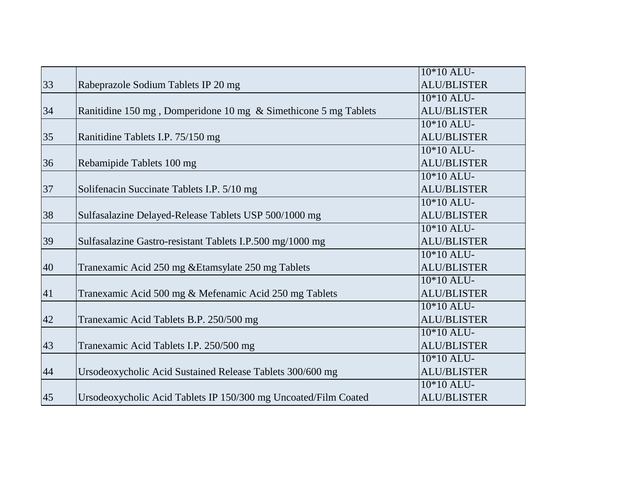|    |                                                                 | 10*10 ALU-         |
|----|-----------------------------------------------------------------|--------------------|
| 33 | Rabeprazole Sodium Tablets IP 20 mg                             | <b>ALU/BLISTER</b> |
|    |                                                                 | 10*10 ALU-         |
| 34 | Ranitidine 150 mg, Domperidone 10 mg & Simethicone 5 mg Tablets | <b>ALU/BLISTER</b> |
|    |                                                                 | $10*10$ ALU-       |
| 35 | Ranitidine Tablets I.P. 75/150 mg                               | <b>ALU/BLISTER</b> |
|    |                                                                 | 10*10 ALU-         |
| 36 | Rebamipide Tablets 100 mg                                       | <b>ALU/BLISTER</b> |
|    |                                                                 | 10*10 ALU-         |
| 37 | Solifenacin Succinate Tablets I.P. 5/10 mg                      | <b>ALU/BLISTER</b> |
|    |                                                                 | 10*10 ALU-         |
| 38 | Sulfasalazine Delayed-Release Tablets USP 500/1000 mg           | <b>ALU/BLISTER</b> |
|    |                                                                 | $10*10$ ALU-       |
| 39 | Sulfasalazine Gastro-resistant Tablets I.P.500 mg/1000 mg       | <b>ALU/BLISTER</b> |
|    |                                                                 | 10*10 ALU-         |
| 40 | Tranexamic Acid 250 mg & Etamsylate 250 mg Tablets              | <b>ALU/BLISTER</b> |
|    |                                                                 | 10*10 ALU-         |
| 41 | Tranexamic Acid 500 mg & Mefenamic Acid 250 mg Tablets          | <b>ALU/BLISTER</b> |
|    |                                                                 | 10*10 ALU-         |
| 42 | Tranexamic Acid Tablets B.P. 250/500 mg                         | <b>ALU/BLISTER</b> |
|    |                                                                 | $10*10$ ALU-       |
| 43 | Tranexamic Acid Tablets I.P. 250/500 mg                         | <b>ALU/BLISTER</b> |
|    |                                                                 | 10*10 ALU-         |
| 44 | Ursodeoxycholic Acid Sustained Release Tablets 300/600 mg       | <b>ALU/BLISTER</b> |
|    |                                                                 | 10*10 ALU-         |
| 45 | Ursodeoxycholic Acid Tablets IP 150/300 mg Uncoated/Film Coated | <b>ALU/BLISTER</b> |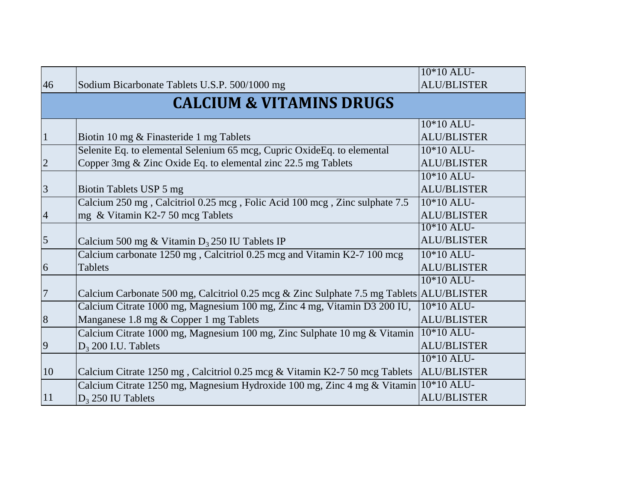|                |                                                                                          | 10*10 ALU-         |
|----------------|------------------------------------------------------------------------------------------|--------------------|
| 46             | Sodium Bicarbonate Tablets U.S.P. 500/1000 mg                                            | <b>ALU/BLISTER</b> |
|                | <b>CALCIUM &amp; VITAMINS DRUGS</b>                                                      |                    |
|                |                                                                                          | 10*10 ALU-         |
| $\mathbf{1}$   | Biotin 10 mg & Finasteride 1 mg Tablets                                                  | <b>ALU/BLISTER</b> |
|                | Selenite Eq. to elemental Selenium 65 mcg, Cupric OxideEq. to elemental                  | 10*10 ALU-         |
| $\overline{2}$ | Copper 3mg & Zinc Oxide Eq. to elemental zinc 22.5 mg Tablets                            | <b>ALU/BLISTER</b> |
|                |                                                                                          | 10*10 ALU-         |
| 3              | Biotin Tablets USP 5 mg                                                                  | <b>ALU/BLISTER</b> |
|                | Calcium 250 mg, Calcitriol 0.25 mcg, Folic Acid 100 mcg, Zinc sulphate 7.5               | 10*10 ALU-         |
| $\overline{4}$ | mg & Vitamin K2-7 50 mcg Tablets                                                         | <b>ALU/BLISTER</b> |
|                |                                                                                          | 10*10 ALU-         |
| 5              | Calcium 500 mg & Vitamin $D_3$ 250 IU Tablets IP                                         | <b>ALU/BLISTER</b> |
|                | Calcium carbonate 1250 mg, Calcitriol 0.25 mcg and Vitamin K2-7 100 mcg                  | $10*10$ ALU-       |
| 6              | <b>Tablets</b>                                                                           | <b>ALU/BLISTER</b> |
|                |                                                                                          | 10*10 ALU-         |
| 7              | Calcium Carbonate 500 mg, Calcitriol 0.25 mcg & Zinc Sulphate 7.5 mg Tablets ALU/BLISTER |                    |
|                | Calcium Citrate 1000 mg, Magnesium 100 mg, Zinc 4 mg, Vitamin D3 200 IU,                 | 10*10 ALU-         |
| $\overline{8}$ | Manganese 1.8 mg & Copper 1 mg Tablets                                                   | <b>ALU/BLISTER</b> |
|                | Calcium Citrate 1000 mg, Magnesium 100 mg, Zinc Sulphate 10 mg & Vitamin                 | 10*10 ALU-         |
| $\overline{9}$ | $D_3$ 200 I.U. Tablets                                                                   | <b>ALU/BLISTER</b> |
|                |                                                                                          | 10*10 ALU-         |
| 10             | Calcium Citrate 1250 mg, Calcitriol 0.25 mcg & Vitamin K2-7 50 mcg Tablets               | <b>ALU/BLISTER</b> |
|                | Calcium Citrate 1250 mg, Magnesium Hydroxide 100 mg, Zinc 4 mg & Vitamin 10*10 ALU-      |                    |
| 11             | $D_3$ 250 IU Tablets                                                                     | <b>ALU/BLISTER</b> |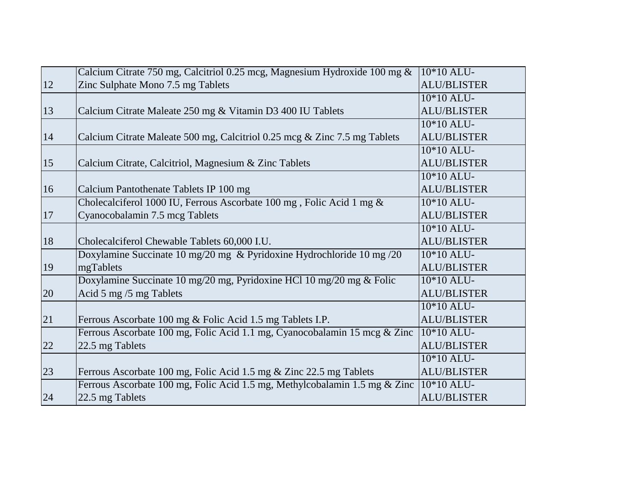|               | Calcium Citrate 750 mg, Calcitriol 0.25 mcg, Magnesium Hydroxide 100 mg &  | $10*10$ ALU-       |
|---------------|----------------------------------------------------------------------------|--------------------|
| 12            | Zinc Sulphate Mono 7.5 mg Tablets                                          | <b>ALU/BLISTER</b> |
|               |                                                                            | 10*10 ALU-         |
| 13            | Calcium Citrate Maleate 250 mg & Vitamin D3 400 IU Tablets                 | <b>ALU/BLISTER</b> |
|               |                                                                            | $10*10$ ALU-       |
| 14            | Calcium Citrate Maleate 500 mg, Calcitriol 0.25 mcg & Zinc 7.5 mg Tablets  | <b>ALU/BLISTER</b> |
|               |                                                                            | 10*10 ALU-         |
| <sup>15</sup> | Calcium Citrate, Calcitriol, Magnesium & Zinc Tablets                      | <b>ALU/BLISTER</b> |
|               |                                                                            | 10*10 ALU-         |
| 16            | Calcium Pantothenate Tablets IP 100 mg                                     | <b>ALU/BLISTER</b> |
|               | Cholecalciferol 1000 IU, Ferrous Ascorbate 100 mg, Folic Acid 1 mg &       | 10*10 ALU-         |
| 17            | Cyanocobalamin 7.5 mcg Tablets                                             | <b>ALU/BLISTER</b> |
|               |                                                                            | 10*10 ALU-         |
| 18            | Cholecalciferol Chewable Tablets 60,000 I.U.                               | <b>ALU/BLISTER</b> |
|               | Doxylamine Succinate 10 mg/20 mg & Pyridoxine Hydrochloride 10 mg /20      | $10*10$ ALU-       |
| 19            | mgTablets                                                                  | <b>ALU/BLISTER</b> |
|               | Doxylamine Succinate 10 mg/20 mg, Pyridoxine HCl 10 mg/20 mg & Folic       | 10*10 ALU-         |
| 20            | Acid 5 mg /5 mg Tablets                                                    | <b>ALU/BLISTER</b> |
|               |                                                                            | 10*10 ALU-         |
| 21            | Ferrous Ascorbate 100 mg & Folic Acid 1.5 mg Tablets I.P.                  | <b>ALU/BLISTER</b> |
|               | Ferrous Ascorbate 100 mg, Folic Acid 1.1 mg, Cyanocobalamin 15 mcg & Zinc  | $10*10$ ALU-       |
| 22            | 22.5 mg Tablets                                                            | <b>ALU/BLISTER</b> |
|               |                                                                            | 10*10 ALU-         |
| 23            | Ferrous Ascorbate 100 mg, Folic Acid 1.5 mg & Zinc 22.5 mg Tablets         | <b>ALU/BLISTER</b> |
|               | Ferrous Ascorbate 100 mg, Folic Acid 1.5 mg, Methylcobalamin 1.5 mg & Zinc | 10*10 ALU-         |
| 24            | 22.5 mg Tablets                                                            | <b>ALU/BLISTER</b> |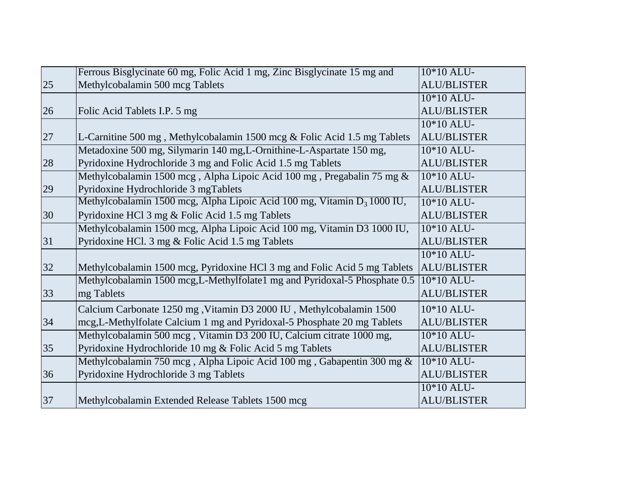|    | Ferrous Bisglycinate 60 mg, Folic Acid 1 mg, Zinc Bisglycinate 15 mg and   | 10*10 ALU-         |
|----|----------------------------------------------------------------------------|--------------------|
| 25 | Methylcobalamin 500 mcg Tablets                                            | <b>ALU/BLISTER</b> |
|    |                                                                            | 10*10 ALU-         |
| 26 | Folic Acid Tablets I.P. 5 mg                                               | <b>ALU/BLISTER</b> |
|    |                                                                            | 10*10 ALU-         |
| 27 | L-Carnitine 500 mg, Methylcobalamin 1500 mcg & Folic Acid 1.5 mg Tablets   | <b>ALU/BLISTER</b> |
|    | Metadoxine 500 mg, Silymarin 140 mg, L-Ornithine-L-Aspartate 150 mg,       | 10*10 ALU-         |
| 28 | Pyridoxine Hydrochloride 3 mg and Folic Acid 1.5 mg Tablets                | <b>ALU/BLISTER</b> |
|    | Methylcobalamin 1500 mcg, Alpha Lipoic Acid 100 mg, Pregabalin 75 mg &     | 10*10 ALU-         |
| 29 | Pyridoxine Hydrochloride 3 mgTablets                                       | <b>ALU/BLISTER</b> |
|    | Methylcobalamin 1500 mcg, Alpha Lipoic Acid 100 mg, Vitamin $D_3$ 1000 IU, | $10*10$ ALU-       |
| 30 | Pyridoxine HCl 3 mg & Folic Acid 1.5 mg Tablets                            | <b>ALU/BLISTER</b> |
|    | Methylcobalamin 1500 mcg, Alpha Lipoic Acid 100 mg, Vitamin D3 1000 IU,    | $10*10$ ALU-       |
| 31 | Pyridoxine HCl. 3 mg & Folic Acid 1.5 mg Tablets                           | <b>ALU/BLISTER</b> |
|    |                                                                            | 10*10 ALU-         |
| 32 | Methylcobalamin 1500 mcg, Pyridoxine HCl 3 mg and Folic Acid 5 mg Tablets  | <b>ALU/BLISTER</b> |
|    | Methylcobalamin 1500 mcg, L-Methylfolate1 mg and Pyridoxal-5 Phosphate 0.5 | $10*10$ ALU-       |
| 33 | mg Tablets                                                                 | <b>ALU/BLISTER</b> |
|    | Calcium Carbonate 1250 mg, Vitamin D3 2000 IU, Methylcobalamin 1500        | 10*10 ALU-         |
| 34 | mcg, L-Methylfolate Calcium 1 mg and Pyridoxal-5 Phosphate 20 mg Tablets   | <b>ALU/BLISTER</b> |
|    | Methylcobalamin 500 mcg, Vitamin D3 200 IU, Calcium citrate 1000 mg,       | 10*10 ALU-         |
| 35 | Pyridoxine Hydrochloride 10 mg & Folic Acid 5 mg Tablets                   | <b>ALU/BLISTER</b> |
|    | Methylcobalamin 750 mcg, Alpha Lipoic Acid 100 mg, Gabapentin 300 mg &     | 10*10 ALU-         |
| 36 | Pyridoxine Hydrochloride 3 mg Tablets                                      | <b>ALU/BLISTER</b> |
|    |                                                                            | 10*10 ALU-         |
| 37 | Methylcobalamin Extended Release Tablets 1500 mcg                          | <b>ALU/BLISTER</b> |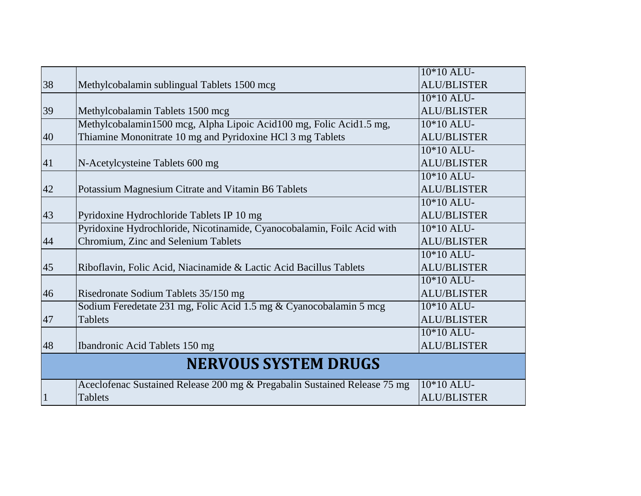|    |                                                                           | 10*10 ALU-         |
|----|---------------------------------------------------------------------------|--------------------|
| 38 | Methylcobalamin sublingual Tablets 1500 mcg                               | <b>ALU/BLISTER</b> |
|    |                                                                           | 10*10 ALU-         |
| 39 | Methylcobalamin Tablets 1500 mcg                                          | <b>ALU/BLISTER</b> |
|    | Methylcobalamin1500 mcg, Alpha Lipoic Acid100 mg, Folic Acid1.5 mg,       | $10*10$ ALU-       |
| 40 | Thiamine Mononitrate 10 mg and Pyridoxine HCl 3 mg Tablets                | <b>ALU/BLISTER</b> |
|    |                                                                           | 10*10 ALU-         |
| 41 | N-Acetylcysteine Tablets 600 mg                                           | <b>ALU/BLISTER</b> |
|    |                                                                           | 10*10 ALU-         |
| 42 | Potassium Magnesium Citrate and Vitamin B6 Tablets                        | <b>ALU/BLISTER</b> |
|    |                                                                           | 10*10 ALU-         |
| 43 | Pyridoxine Hydrochloride Tablets IP 10 mg                                 | <b>ALU/BLISTER</b> |
|    | Pyridoxine Hydrochloride, Nicotinamide, Cyanocobalamin, Foilc Acid with   | 10*10 ALU-         |
| 44 | Chromium, Zinc and Selenium Tablets                                       | <b>ALU/BLISTER</b> |
|    |                                                                           | 10*10 ALU-         |
| 45 | Riboflavin, Folic Acid, Niacinamide & Lactic Acid Bacillus Tablets        | <b>ALU/BLISTER</b> |
|    |                                                                           | 10*10 ALU-         |
| 46 | Risedronate Sodium Tablets 35/150 mg                                      | <b>ALU/BLISTER</b> |
|    | Sodium Feredetate 231 mg, Folic Acid 1.5 mg & Cyanocobalamin 5 mcg        | 10*10 ALU-         |
| 47 | <b>Tablets</b>                                                            | <b>ALU/BLISTER</b> |
|    |                                                                           | 10*10 ALU-         |
| 48 | Ibandronic Acid Tablets 150 mg                                            | <b>ALU/BLISTER</b> |
|    | <b>NERVOUS SYSTEM DRUGS</b>                                               |                    |
|    | Aceclofenac Sustained Release 200 mg & Pregabalin Sustained Release 75 mg | 10*10 ALU-         |
|    | <b>Tablets</b>                                                            | <b>ALU/BLISTER</b> |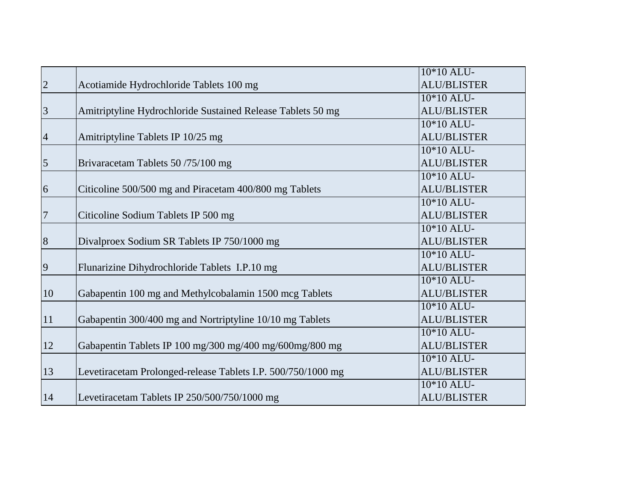|                  |                                                              | 10*10 ALU-               |
|------------------|--------------------------------------------------------------|--------------------------|
| $\overline{2}$   | Acotiamide Hydrochloride Tablets 100 mg                      | <b>ALU/BLISTER</b>       |
|                  |                                                              | 10*10 ALU-               |
| $\overline{3}$   | Amitriptyline Hydrochloride Sustained Release Tablets 50 mg  | <b>ALU/BLISTER</b>       |
|                  |                                                              | $10*10$ ALU-             |
| $\overline{4}$   | Amitriptyline Tablets IP 10/25 mg                            | <b>ALU/BLISTER</b>       |
|                  |                                                              | $10*10$ ALU-             |
| $\overline{5}$   | Brivaracetam Tablets 50/75/100 mg                            | <b>ALU/BLISTER</b>       |
|                  |                                                              | 10*10 ALU-               |
| $\overline{6}$   | Citicoline 500/500 mg and Piracetam 400/800 mg Tablets       | <b>ALU/BLISTER</b>       |
|                  |                                                              | 10*10 ALU-               |
| $\sqrt{ }$       | Citicoline Sodium Tablets IP 500 mg                          | <b>ALU/BLISTER</b>       |
|                  |                                                              | 10*10 ALU-               |
| $\boldsymbol{8}$ | Divalproex Sodium SR Tablets IP 750/1000 mg                  | <b>ALU/BLISTER</b>       |
|                  |                                                              | 10*10 ALU-               |
| 9                | Flunarizine Dihydrochloride Tablets I.P.10 mg                | <b>ALU/BLISTER</b>       |
|                  |                                                              | $\overline{10}$ *10 ALU- |
| 10               | Gabapentin 100 mg and Methylcobalamin 1500 mcg Tablets       | <b>ALU/BLISTER</b>       |
|                  |                                                              | 10*10 ALU-               |
| 11               | Gabapentin 300/400 mg and Nortriptyline 10/10 mg Tablets     | <b>ALU/BLISTER</b>       |
|                  |                                                              | 10*10 ALU-               |
| 12               | Gabapentin Tablets IP 100 mg/300 mg/400 mg/600mg/800 mg      | <b>ALU/BLISTER</b>       |
|                  |                                                              | 10*10 ALU-               |
| 13               | Levetiracetam Prolonged-release Tablets I.P. 500/750/1000 mg | <b>ALU/BLISTER</b>       |
|                  |                                                              | 10*10 ALU-               |
| 14               | Levetiracetam Tablets IP 250/500/750/1000 mg                 | <b>ALU/BLISTER</b>       |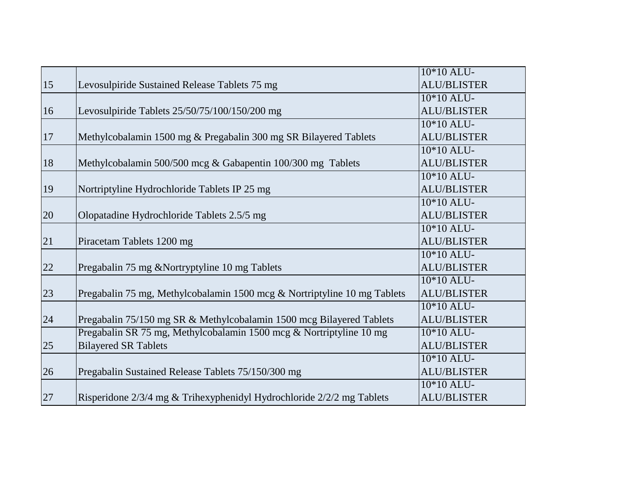|        |                                                                          | 10*10 ALU-         |
|--------|--------------------------------------------------------------------------|--------------------|
| 15     | Levosulpiride Sustained Release Tablets 75 mg                            | <b>ALU/BLISTER</b> |
|        |                                                                          | 10*10 ALU-         |
| 16     | Levosulpiride Tablets 25/50/75/100/150/200 mg                            | <b>ALU/BLISTER</b> |
|        |                                                                          | 10*10 ALU-         |
| 17     | Methylcobalamin 1500 mg & Pregabalin 300 mg SR Bilayered Tablets         | <b>ALU/BLISTER</b> |
|        |                                                                          | 10*10 ALU-         |
| 18     | Methylcobalamin 500/500 mcg & Gabapentin 100/300 mg Tablets              | <b>ALU/BLISTER</b> |
|        |                                                                          | 10*10 ALU-         |
| 19     | Nortriptyline Hydrochloride Tablets IP 25 mg                             | <b>ALU/BLISTER</b> |
|        |                                                                          | 10*10 ALU-         |
| 20     | Olopatadine Hydrochloride Tablets 2.5/5 mg                               | <b>ALU/BLISTER</b> |
|        |                                                                          | 10*10 ALU-         |
| 21     | Piracetam Tablets 1200 mg                                                | <b>ALU/BLISTER</b> |
|        |                                                                          | $10*10$ ALU-       |
| $22\,$ | Pregabalin 75 mg & Nortryptyline 10 mg Tablets                           | <b>ALU/BLISTER</b> |
|        |                                                                          | 10*10 ALU-         |
| 23     | Pregabalin 75 mg, Methylcobalamin 1500 mcg & Nortriptyline 10 mg Tablets | <b>ALU/BLISTER</b> |
|        |                                                                          | 10*10 ALU-         |
| 24     | Pregabalin 75/150 mg SR & Methylcobalamin 1500 mcg Bilayered Tablets     | <b>ALU/BLISTER</b> |
|        | Pregabalin SR 75 mg, Methylcobalamin 1500 mcg & Nortriptyline 10 mg      | 10*10 ALU-         |
| 25     | <b>Bilayered SR Tablets</b>                                              | <b>ALU/BLISTER</b> |
|        |                                                                          | $10*10$ ALU-       |
| 26     | Pregabalin Sustained Release Tablets 75/150/300 mg                       | <b>ALU/BLISTER</b> |
|        |                                                                          | 10*10 ALU-         |
| 27     | Risperidone 2/3/4 mg & Trihexyphenidyl Hydrochloride 2/2/2 mg Tablets    | <b>ALU/BLISTER</b> |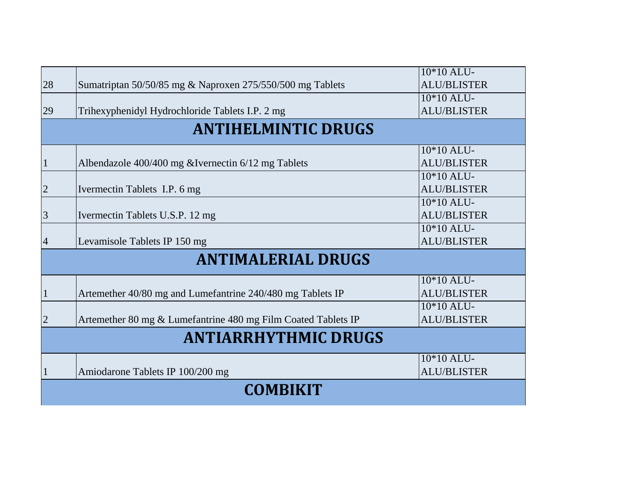|                             |                                                               | 10*10 ALU-         |  |
|-----------------------------|---------------------------------------------------------------|--------------------|--|
| 28                          | Sumatriptan 50/50/85 mg & Naproxen 275/550/500 mg Tablets     | <b>ALU/BLISTER</b> |  |
|                             |                                                               | 10*10 ALU-         |  |
| 29                          | Trihexyphenidyl Hydrochloride Tablets I.P. 2 mg               | <b>ALU/BLISTER</b> |  |
|                             | <b>ANTIHELMINTIC DRUGS</b>                                    |                    |  |
|                             |                                                               | 10*10 ALU-         |  |
| $\mathbf{1}$                | Albendazole 400/400 mg &Ivernectin 6/12 mg Tablets            | <b>ALU/BLISTER</b> |  |
|                             |                                                               | 10*10 ALU-         |  |
| $\overline{2}$              | Ivermectin Tablets I.P. 6 mg                                  | <b>ALU/BLISTER</b> |  |
|                             |                                                               | 10*10 ALU-         |  |
| 3                           | Ivermectin Tablets U.S.P. 12 mg                               | <b>ALU/BLISTER</b> |  |
|                             |                                                               | 10*10 ALU-         |  |
| $\overline{4}$              | Levamisole Tablets IP 150 mg                                  | <b>ALU/BLISTER</b> |  |
|                             | <b>ANTIMALERIAL DRUGS</b>                                     |                    |  |
|                             |                                                               | 10*10 ALU-         |  |
| $\mathbf{1}$                | Artemether 40/80 mg and Lumefantrine 240/480 mg Tablets IP    | <b>ALU/BLISTER</b> |  |
|                             |                                                               | 10*10 ALU-         |  |
| $\overline{2}$              | Artemether 80 mg & Lumefantrine 480 mg Film Coated Tablets IP | <b>ALU/BLISTER</b> |  |
| <b>ANTIARRHYTHMIC DRUGS</b> |                                                               |                    |  |
|                             |                                                               | 10*10 ALU-         |  |
| 1                           | Amiodarone Tablets IP 100/200 mg                              | <b>ALU/BLISTER</b> |  |
|                             | <b>COMBIKIT</b>                                               |                    |  |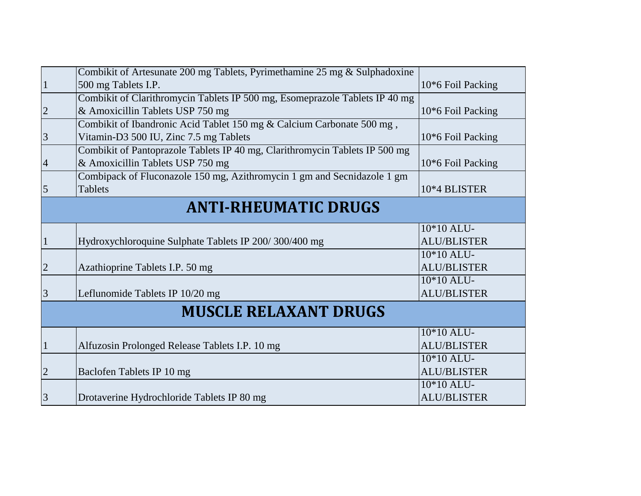|                | Combikit of Artesunate 200 mg Tablets, Pyrimethamine 25 mg & Sulphadoxine   |                     |
|----------------|-----------------------------------------------------------------------------|---------------------|
| $\mathbf{1}$   | 500 mg Tablets I.P.                                                         | 10*6 Foil Packing   |
|                | Combikit of Clarithromycin Tablets IP 500 mg, Esomeprazole Tablets IP 40 mg |                     |
| $\overline{2}$ | & Amoxicillin Tablets USP 750 mg                                            | $10*6$ Foil Packing |
|                | Combikit of Ibandronic Acid Tablet 150 mg & Calcium Carbonate 500 mg,       |                     |
| 3              | Vitamin-D3 500 IU, Zinc 7.5 mg Tablets                                      | 10*6 Foil Packing   |
|                | Combikit of Pantoprazole Tablets IP 40 mg, Clarithromycin Tablets IP 500 mg |                     |
| $\overline{4}$ | & Amoxicillin Tablets USP 750 mg                                            | 10*6 Foil Packing   |
|                | Combipack of Fluconazole 150 mg, Azithromycin 1 gm and Secnidazole 1 gm     |                     |
| $\overline{5}$ | Tablets                                                                     | 10*4 BLISTER        |
|                | <b>ANTI-RHEUMATIC DRUGS</b>                                                 |                     |
|                |                                                                             |                     |
|                |                                                                             | 10*10 ALU-          |
| $\mathbf{1}$   | Hydroxychloroquine Sulphate Tablets IP 200/300/400 mg                       | <b>ALU/BLISTER</b>  |
|                |                                                                             | 10*10 ALU-          |
| $\overline{2}$ | Azathioprine Tablets I.P. 50 mg                                             | <b>ALU/BLISTER</b>  |
|                |                                                                             | 10*10 ALU-          |
| $\overline{3}$ | Leflunomide Tablets IP 10/20 mg                                             | <b>ALU/BLISTER</b>  |
|                | <b>MUSCLE RELAXANT DRUGS</b>                                                |                     |
|                |                                                                             |                     |
|                |                                                                             | $10*10$ ALU-        |
| $\mathbf{1}$   | Alfuzosin Prolonged Release Tablets I.P. 10 mg                              | <b>ALU/BLISTER</b>  |
|                |                                                                             | 10*10 ALU-          |
| $\overline{2}$ | Baclofen Tablets IP 10 mg                                                   | <b>ALU/BLISTER</b>  |
|                |                                                                             | 10*10 ALU-          |
| 3              | Drotaverine Hydrochloride Tablets IP 80 mg                                  | <b>ALU/BLISTER</b>  |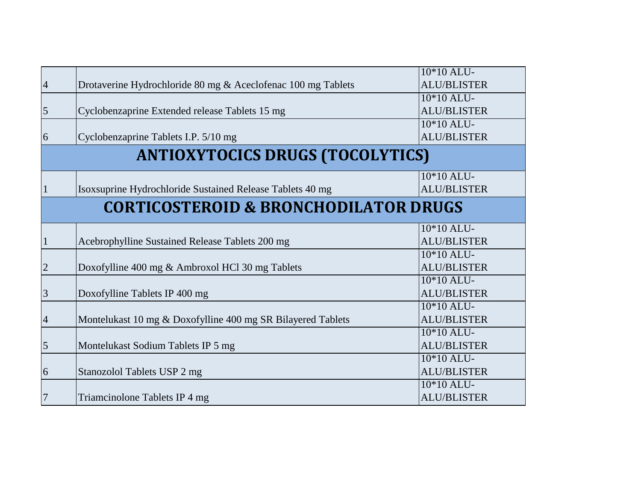|                                                  |                                                              | 10*10 ALU-         |  |  |
|--------------------------------------------------|--------------------------------------------------------------|--------------------|--|--|
| $\overline{4}$                                   | Drotaverine Hydrochloride 80 mg & Aceclofenac 100 mg Tablets | <b>ALU/BLISTER</b> |  |  |
|                                                  |                                                              | $10*10$ ALU-       |  |  |
| $\overline{5}$                                   | Cyclobenzaprine Extended release Tablets 15 mg               | <b>ALU/BLISTER</b> |  |  |
|                                                  |                                                              | 10*10 ALU-         |  |  |
| 6                                                | Cyclobenzaprine Tablets I.P. 5/10 mg                         | <b>ALU/BLISTER</b> |  |  |
| <b>ANTIOXYTOCICS DRUGS (TOCOLYTICS)</b>          |                                                              |                    |  |  |
|                                                  |                                                              | 10*10 ALU-         |  |  |
|                                                  | Isoxsuprine Hydrochloride Sustained Release Tablets 40 mg    | <b>ALU/BLISTER</b> |  |  |
| <b>CORTICOSTEROID &amp; BRONCHODILATOR DRUGS</b> |                                                              |                    |  |  |
|                                                  |                                                              | $10*10$ ALU-       |  |  |
|                                                  | Acebrophylline Sustained Release Tablets 200 mg              | <b>ALU/BLISTER</b> |  |  |
|                                                  |                                                              | $10*10$ ALU-       |  |  |
| $\overline{2}$                                   | Doxofylline 400 mg & Ambroxol HCl 30 mg Tablets              | <b>ALU/BLISTER</b> |  |  |
|                                                  |                                                              | 10*10 ALU-         |  |  |
| $\overline{3}$                                   | Doxofylline Tablets IP 400 mg                                | <b>ALU/BLISTER</b> |  |  |
|                                                  |                                                              | 10*10 ALU-         |  |  |
| $\overline{4}$                                   | Montelukast 10 mg & Doxofylline 400 mg SR Bilayered Tablets  | <b>ALU/BLISTER</b> |  |  |
|                                                  |                                                              | $10*10$ ALU-       |  |  |
| $\overline{5}$                                   | Montelukast Sodium Tablets IP 5 mg                           | <b>ALU/BLISTER</b> |  |  |
|                                                  |                                                              | 10*10 ALU-         |  |  |
| $\overline{6}$                                   | Stanozolol Tablets USP 2 mg                                  | <b>ALU/BLISTER</b> |  |  |
|                                                  |                                                              | 10*10 ALU-         |  |  |
| 7                                                | Triamcinolone Tablets IP 4 mg                                | <b>ALU/BLISTER</b> |  |  |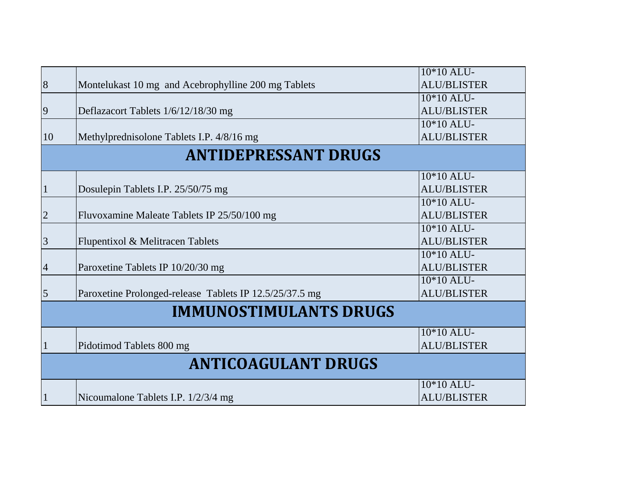| 8                             | Montelukast 10 mg and Acebrophylline 200 mg Tablets     | 10*10 ALU-<br><b>ALU/BLISTER</b> |  |  |
|-------------------------------|---------------------------------------------------------|----------------------------------|--|--|
|                               |                                                         | 10*10 ALU-                       |  |  |
| 9                             | Deflazacort Tablets 1/6/12/18/30 mg                     | <b>ALU/BLISTER</b>               |  |  |
|                               |                                                         | $10*10$ ALU-                     |  |  |
| 10                            | Methylprednisolone Tablets I.P. 4/8/16 mg               | <b>ALU/BLISTER</b>               |  |  |
| <b>ANTIDEPRESSANT DRUGS</b>   |                                                         |                                  |  |  |
|                               |                                                         | 10*10 ALU-                       |  |  |
| $\mathbf{1}$                  | Dosulepin Tablets I.P. 25/50/75 mg                      | <b>ALU/BLISTER</b>               |  |  |
|                               |                                                         | 10*10 ALU-                       |  |  |
| $\overline{2}$                | Fluvoxamine Maleate Tablets IP 25/50/100 mg             | <b>ALU/BLISTER</b>               |  |  |
|                               |                                                         | 10*10 ALU-                       |  |  |
| 3                             | Flupentixol & Melitracen Tablets                        | <b>ALU/BLISTER</b>               |  |  |
|                               |                                                         | 10*10 ALU-                       |  |  |
| 4                             | Paroxetine Tablets IP 10/20/30 mg                       | <b>ALU/BLISTER</b>               |  |  |
|                               |                                                         | 10*10 ALU-                       |  |  |
| 5                             | Paroxetine Prolonged-release Tablets IP 12.5/25/37.5 mg | <b>ALU/BLISTER</b>               |  |  |
| <b>IMMUNOSTIMULANTS DRUGS</b> |                                                         |                                  |  |  |
|                               |                                                         | 10*10 ALU-                       |  |  |
|                               | Pidotimod Tablets 800 mg                                | <b>ALU/BLISTER</b>               |  |  |
| <b>ANTICOAGULANT DRUGS</b>    |                                                         |                                  |  |  |
|                               |                                                         | 10*10 ALU-                       |  |  |
| 1                             | Nicoumalone Tablets I.P. 1/2/3/4 mg                     | <b>ALU/BLISTER</b>               |  |  |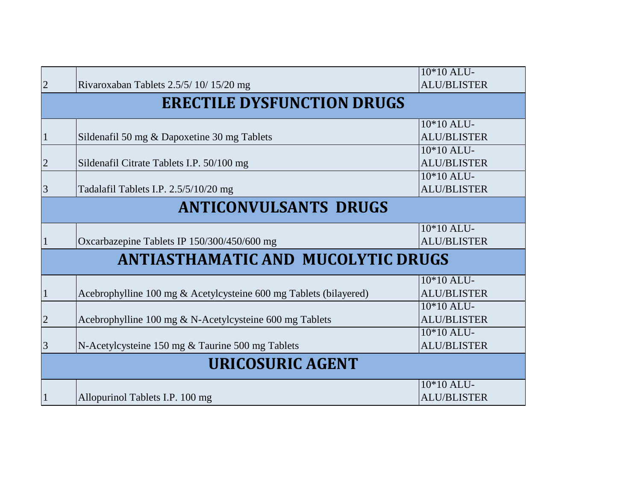|                                           |                                                                   | 10*10 ALU-         |  |  |
|-------------------------------------------|-------------------------------------------------------------------|--------------------|--|--|
| $\overline{2}$                            | Rivaroxaban Tablets 2.5/5/10/15/20 mg                             | <b>ALU/BLISTER</b> |  |  |
| <b>ERECTILE DYSFUNCTION DRUGS</b>         |                                                                   |                    |  |  |
|                                           |                                                                   | 10*10 ALU-         |  |  |
| $\mathbf{1}$                              | Sildenafil 50 mg & Dapoxetine 30 mg Tablets                       | <b>ALU/BLISTER</b> |  |  |
|                                           |                                                                   | $10*10$ ALU-       |  |  |
| $\overline{2}$                            | Sildenafil Citrate Tablets I.P. 50/100 mg                         | <b>ALU/BLISTER</b> |  |  |
|                                           |                                                                   | 10*10 ALU-         |  |  |
| 3                                         | Tadalafil Tablets I.P. 2.5/5/10/20 mg                             | <b>ALU/BLISTER</b> |  |  |
| <b>ANTICONVULSANTS DRUGS</b>              |                                                                   |                    |  |  |
|                                           |                                                                   | 10*10 ALU-         |  |  |
| 1                                         | Oxcarbazepine Tablets IP 150/300/450/600 mg                       | <b>ALU/BLISTER</b> |  |  |
| <b>ANTIASTHAMATIC AND MUCOLYTIC DRUGS</b> |                                                                   |                    |  |  |
|                                           |                                                                   | 10*10 ALU-         |  |  |
| $\mathbf{1}$                              | Acebrophylline 100 mg & Acetylcysteine 600 mg Tablets (bilayered) | <b>ALU/BLISTER</b> |  |  |
|                                           |                                                                   | 10*10 ALU-         |  |  |
| $\overline{2}$                            | Acebrophylline 100 mg & N-Acetylcysteine 600 mg Tablets           | <b>ALU/BLISTER</b> |  |  |
|                                           |                                                                   | $10*10$ ALU-       |  |  |
| 3                                         | N-Acetylcysteine 150 mg & Taurine 500 mg Tablets                  | <b>ALU/BLISTER</b> |  |  |
| <b>URICOSURIC AGENT</b>                   |                                                                   |                    |  |  |
|                                           |                                                                   | 10*10 ALU-         |  |  |
|                                           | Allopurinol Tablets I.P. 100 mg                                   | <b>ALU/BLISTER</b> |  |  |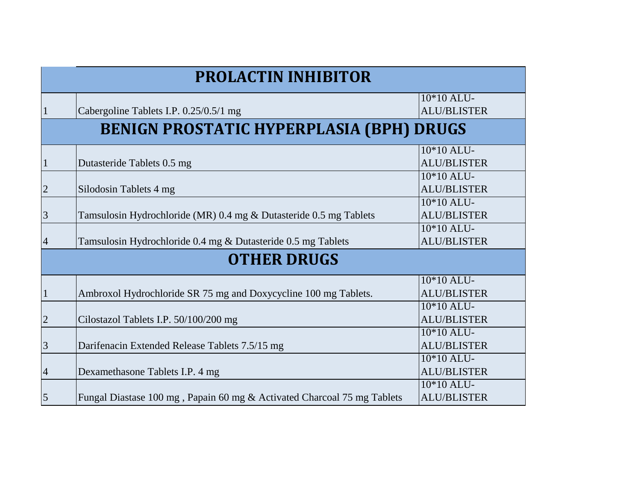| <b>PROLACTIN INHIBITOR</b> |                                                                         |                                    |  |  |
|----------------------------|-------------------------------------------------------------------------|------------------------------------|--|--|
|                            | Cabergoline Tablets I.P. 0.25/0.5/1 mg                                  | 10*10 ALU-<br><b>ALU/BLISTER</b>   |  |  |
|                            | <b>BENIGN PROSTATIC HYPERPLASIA (BPH) DRUGS</b>                         |                                    |  |  |
| $\mathbf{1}$               | Dutasteride Tablets 0.5 mg                                              | $10*10$ ALU-<br><b>ALU/BLISTER</b> |  |  |
| $\overline{2}$             | Silodosin Tablets 4 mg                                                  | $10*10$ ALU-<br><b>ALU/BLISTER</b> |  |  |
| $\overline{3}$             | Tamsulosin Hydrochloride (MR) 0.4 mg & Dutasteride 0.5 mg Tablets       | 10*10 ALU-<br><b>ALU/BLISTER</b>   |  |  |
| $\overline{4}$             | Tamsulosin Hydrochloride 0.4 mg & Dutasteride 0.5 mg Tablets            | $10*10$ ALU-<br><b>ALU/BLISTER</b> |  |  |
|                            | <b>OTHER DRUGS</b>                                                      |                                    |  |  |
|                            | Ambroxol Hydrochloride SR 75 mg and Doxycycline 100 mg Tablets.         | 10*10 ALU-<br><b>ALU/BLISTER</b>   |  |  |
| $\overline{2}$             | Cilostazol Tablets I.P. 50/100/200 mg                                   | 10*10 ALU-<br><b>ALU/BLISTER</b>   |  |  |
| $\overline{3}$             | Darifenacin Extended Release Tablets 7.5/15 mg                          | 10*10 ALU-<br><b>ALU/BLISTER</b>   |  |  |
| $\overline{4}$             | Dexamethasone Tablets I.P. 4 mg                                         | $10*10$ ALU-<br><b>ALU/BLISTER</b> |  |  |
| $\overline{5}$             | Fungal Diastase 100 mg, Papain 60 mg & Activated Charcoal 75 mg Tablets | 10*10 ALU-<br><b>ALU/BLISTER</b>   |  |  |